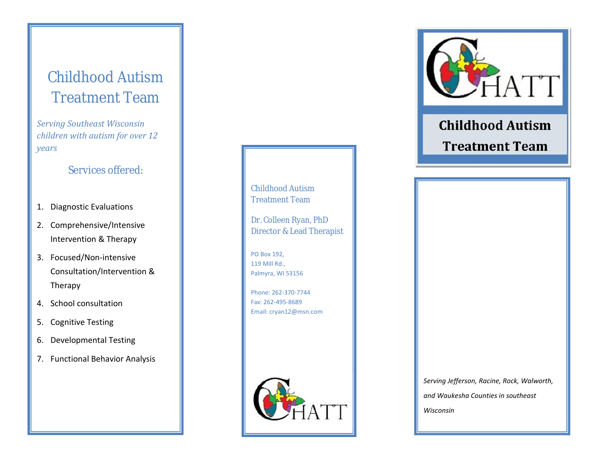# Childhood Autism Treatment Team

*Serving Southeast Wisconsin children with autism for over 12 years*

## Services offered:

- 1. Diagnostic Evaluations
- 2. Comprehensive/Intensive Intervention & Therapy
- 3. Focused/Non-intensive Consultation/Intervention & Therapy
- 4. School consultation
- 5. Cognitive Testing
- 6. Developmental Testing
- 7. Functional Behavior Analysis

Childhood Autism Treatment Team

Dr. Colleen Ryan, PhD Director & Lead Therapist

PO Box 192, 119 Mill Rd., Palmyra, WI 53156

Phone: 262-370-7744 Fax: 262-495-8689 Email: cryan12@msn.com



*Serving Jefferson, Racine, Rock, Walworth, and Waukesha Counties in southeast Wisconsin*



# **Childhood Autism Treatment Team**